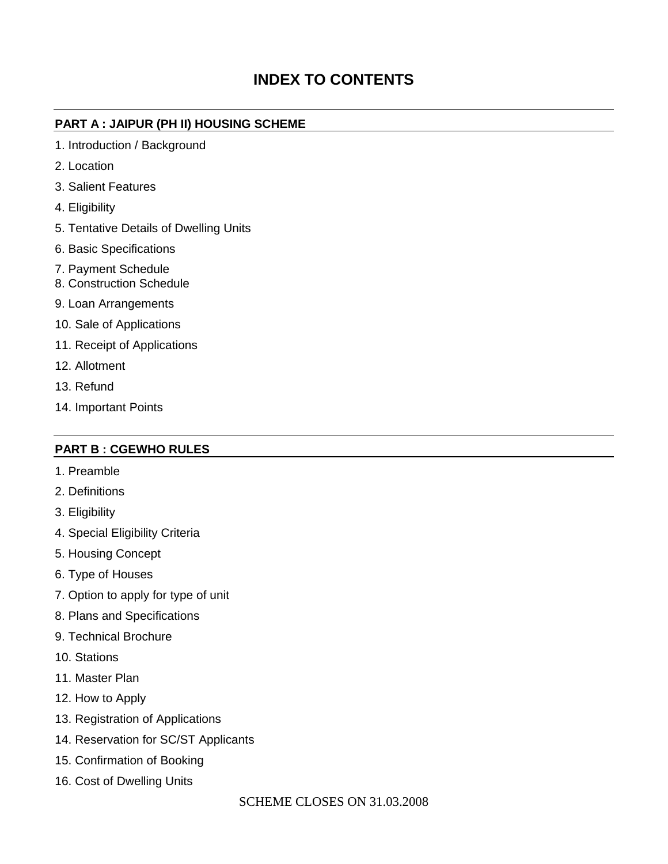# **INDEX TO CONTENTS**

#### **PART A : JAIPUR (PH II) HOUSING SCHEME**

- 1. Introduction / Background
- 2. Location
- 3. Salient Features
- 4. Eligibility
- 5. Tentative Details of Dwelling Units
- 6. Basic Specifications
- 7. Payment Schedule
- 8. Construction Schedule
- 9. Loan Arrangements
- 10. Sale of Applications
- 11. Receipt of Applications
- 12. Allotment
- 13. Refund
- 14. Important Points

#### **PART B : CGEWHO RULES**

- 1. Preamble
- 2. Definitions
- 3. Eligibility
- 4. Special Eligibility Criteria
- 5. Housing Concept
- 6. Type of Houses
- 7. Option to apply for type of unit
- 8. Plans and Specifications
- 9. Technical Brochure
- 10. Stations
- 11. Master Plan
- 12. How to Apply
- 13. Registration of Applications
- 14. Reservation for SC/ST Applicants
- 15. Confirmation of Booking
- 16. Cost of Dwelling Units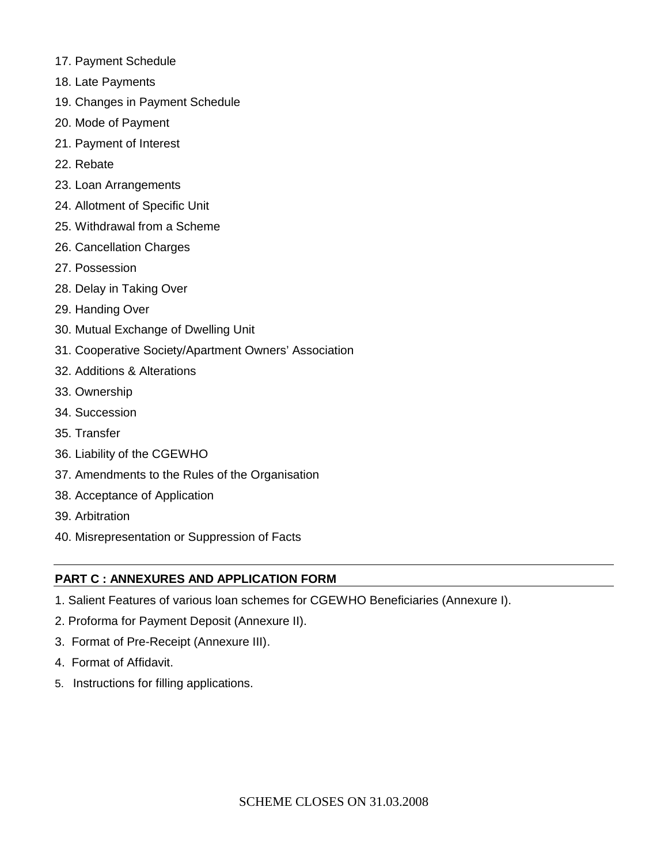- 17. Payment Schedule
- 18. Late Payments
- 19. Changes in Payment Schedule
- 20. Mode of Payment
- 21. Payment of Interest
- 22. Rebate
- 23. Loan Arrangements
- 24. Allotment of Specific Unit
- 25. Withdrawal from a Scheme
- 26. Cancellation Charges
- 27. Possession
- 28. Delay in Taking Over
- 29. Handing Over
- 30. Mutual Exchange of Dwelling Unit
- 31. Cooperative Society/Apartment Owners' Association
- 32. Additions & Alterations
- 33. Ownership
- 34. Succession
- 35. Transfer
- 36. Liability of the CGEWHO
- 37. Amendments to the Rules of the Organisation
- 38. Acceptance of Application
- 39. Arbitration
- 40. Misrepresentation or Suppression of Facts

#### **PART C : ANNEXURES AND APPLICATION FORM**

- 1. Salient Features of various loan schemes for CGEWHO Beneficiaries (Annexure I).
- 2. Proforma for Payment Deposit (Annexure II).
- 3. Format of Pre-Receipt (Annexure III).
- 4. Format of Affidavit.
- 5. Instructions for filling applications.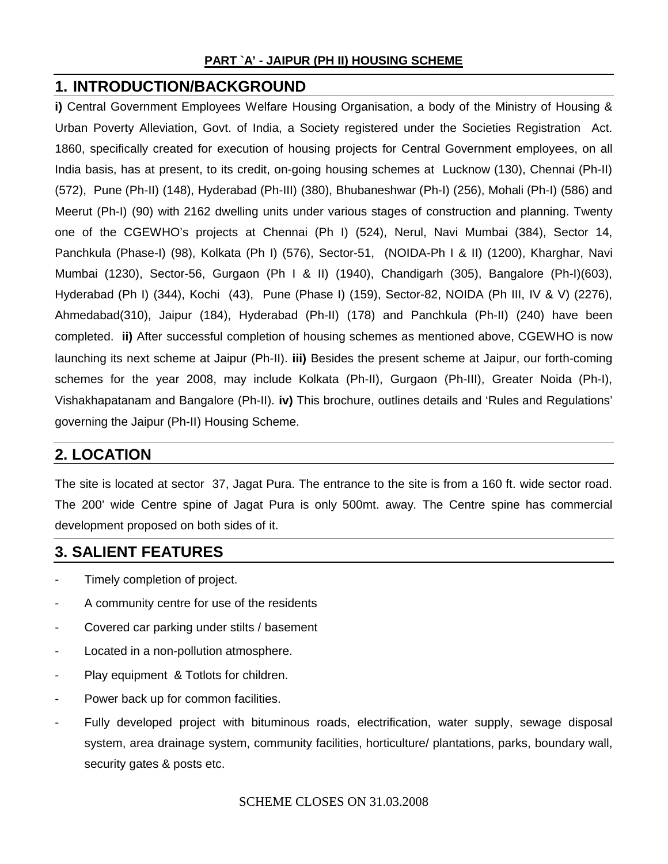#### **PART `A' - JAIPUR (PH II) HOUSING SCHEME**

#### **1. INTRODUCTION/BACKGROUND**

**i)** Central Government Employees Welfare Housing Organisation, a body of the Ministry of Housing & Urban Poverty Alleviation, Govt. of India, a Society registered under the Societies Registration Act. 1860, specifically created for execution of housing projects for Central Government employees, on all India basis, has at present, to its credit, on-going housing schemes at Lucknow (130), Chennai (Ph-II) (572), Pune (Ph-II) (148), Hyderabad (Ph-III) (380), Bhubaneshwar (Ph-I) (256), Mohali (Ph-I) (586) and Meerut (Ph-I) (90) with 2162 dwelling units under various stages of construction and planning. Twenty one of the CGEWHO's projects at Chennai (Ph I) (524), Nerul, Navi Mumbai (384), Sector 14, Panchkula (Phase-I) (98), Kolkata (Ph I) (576), Sector-51, (NOIDA-Ph I & II) (1200), Kharghar, Navi Mumbai (1230), Sector-56, Gurgaon (Ph I & II) (1940), Chandigarh (305), Bangalore (Ph-I)(603), Hyderabad (Ph I) (344), Kochi (43), Pune (Phase I) (159), Sector-82, NOIDA (Ph III, IV & V) (2276), Ahmedabad(310), Jaipur (184), Hyderabad (Ph-II) (178) and Panchkula (Ph-II) (240) have been completed. **ii)** After successful completion of housing schemes as mentioned above, CGEWHO is now launching its next scheme at Jaipur (Ph-II). **iii)** Besides the present scheme at Jaipur, our forth-coming schemes for the year 2008, may include Kolkata (Ph-II), Gurgaon (Ph-III), Greater Noida (Ph-I), Vishakhapatanam and Bangalore (Ph-II). **iv)** This brochure, outlines details and 'Rules and Regulations' governing the Jaipur (Ph-II) Housing Scheme.

### **2. LOCATION**

The site is located at sector 37, Jagat Pura. The entrance to the site is from a 160 ft. wide sector road. The 200' wide Centre spine of Jagat Pura is only 500mt. away. The Centre spine has commercial development proposed on both sides of it.

#### **3. SALIENT FEATURES**

- Timely completion of project.
- A community centre for use of the residents
- Covered car parking under stilts / basement
- Located in a non-pollution atmosphere.
- Play equipment & Totlots for children.
- Power back up for common facilities.
- Fully developed project with bituminous roads, electrification, water supply, sewage disposal system, area drainage system, community facilities, horticulture/ plantations, parks, boundary wall, security gates & posts etc.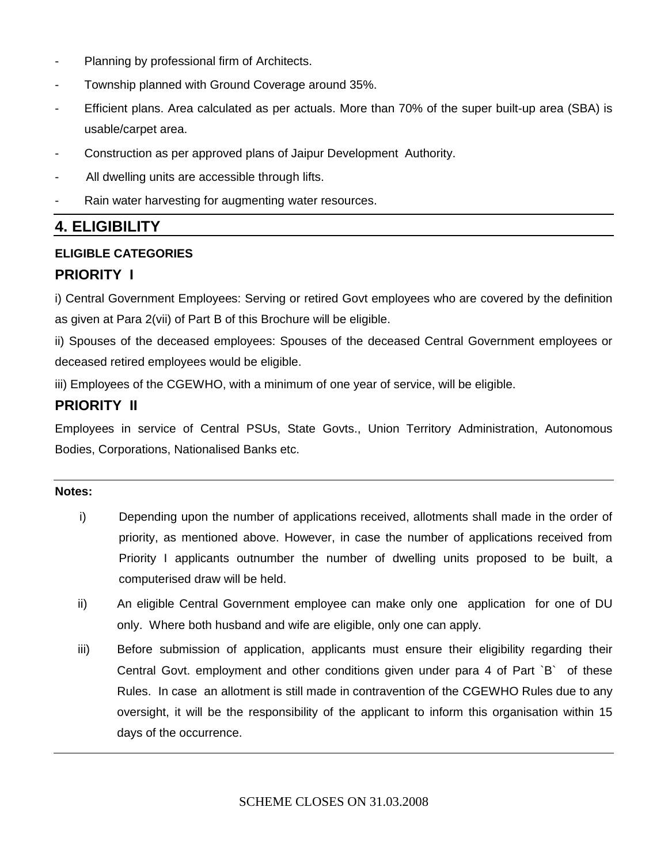- Planning by professional firm of Architects.
- Township planned with Ground Coverage around 35%.
- Efficient plans. Area calculated as per actuals. More than 70% of the super built-up area (SBA) is usable/carpet area.
- Construction as per approved plans of Jaipur Development Authority.
- All dwelling units are accessible through lifts.
- Rain water harvesting for augmenting water resources.

### **4. ELIGIBILITY**

#### **ELIGIBLE CATEGORIES**

#### **PRIORITY I**

i) Central Government Employees: Serving or retired Govt employees who are covered by the definition as given at Para 2(vii) of Part B of this Brochure will be eligible.

ii) Spouses of the deceased employees: Spouses of the deceased Central Government employees or deceased retired employees would be eligible.

iii) Employees of the CGEWHO, with a minimum of one year of service, will be eligible.

#### **PRIORITY II**

Employees in service of Central PSUs, State Govts., Union Territory Administration, Autonomous Bodies, Corporations, Nationalised Banks etc.

#### **Notes:**

- i) Depending upon the number of applications received, allotments shall made in the order of priority, as mentioned above. However, in case the number of applications received from Priority I applicants outnumber the number of dwelling units proposed to be built, a computerised draw will be held.
- ii) An eligible Central Government employee can make only one application for one of DU only. Where both husband and wife are eligible, only one can apply.
- iii) Before submission of application, applicants must ensure their eligibility regarding their Central Govt. employment and other conditions given under para 4 of Part `B` of these Rules. In case an allotment is still made in contravention of the CGEWHO Rules due to any oversight, it will be the responsibility of the applicant to inform this organisation within 15 days of the occurrence.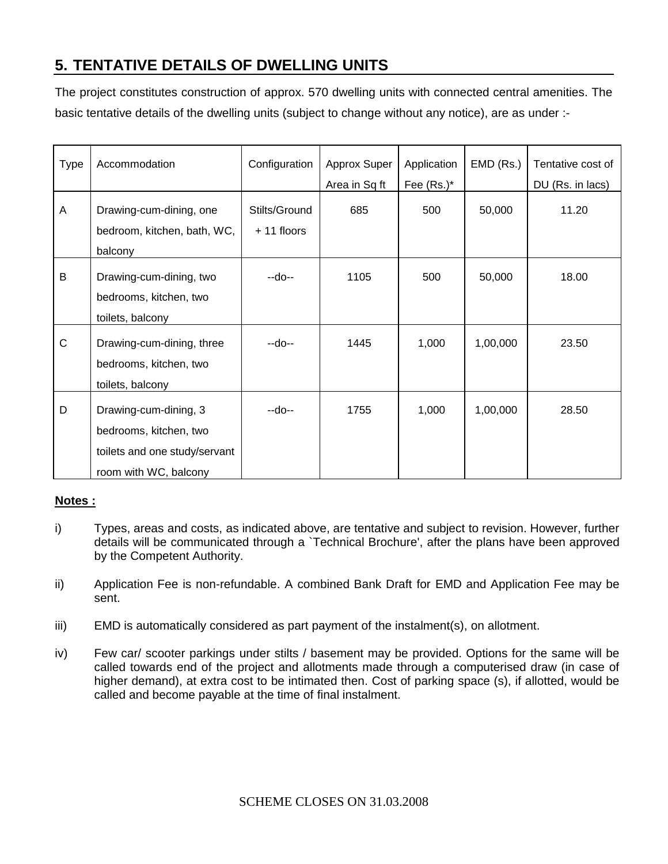# **5. TENTATIVE DETAILS OF DWELLING UNITS**

The project constitutes construction of approx. 570 dwelling units with connected central amenities. The basic tentative details of the dwelling units (subject to change without any notice), are as under :-

| <b>Type</b> | Accommodation                                                                                             | Configuration                 | Approx Super<br>Area in Sq ft | Application<br>Fee $(Rs.)^*$ | EMD (Rs.) | Tentative cost of<br>DU (Rs. in lacs) |
|-------------|-----------------------------------------------------------------------------------------------------------|-------------------------------|-------------------------------|------------------------------|-----------|---------------------------------------|
| A           | Drawing-cum-dining, one<br>bedroom, kitchen, bath, WC,<br>balcony                                         | Stilts/Ground<br>$+11$ floors | 685                           | 500                          | 50,000    | 11.20                                 |
| $\sf B$     | Drawing-cum-dining, two<br>bedrooms, kitchen, two<br>toilets, balcony                                     | --do--                        | 1105                          | 500                          | 50,000    | 18.00                                 |
| $\mathsf C$ | Drawing-cum-dining, three<br>bedrooms, kitchen, two<br>toilets, balcony                                   | --do--                        | 1445                          | 1,000                        | 1,00,000  | 23.50                                 |
| D           | Drawing-cum-dining, 3<br>bedrooms, kitchen, two<br>toilets and one study/servant<br>room with WC, balcony | --do--                        | 1755                          | 1,000                        | 1,00,000  | 28.50                                 |

#### **Notes :**

- i) Types, areas and costs, as indicated above, are tentative and subject to revision. However, further details will be communicated through a `Technical Brochure', after the plans have been approved by the Competent Authority.
- ii) Application Fee is non-refundable. A combined Bank Draft for EMD and Application Fee may be sent.
- iii) EMD is automatically considered as part payment of the instalment(s), on allotment.
- iv) Few car/ scooter parkings under stilts / basement may be provided. Options for the same will be called towards end of the project and allotments made through a computerised draw (in case of higher demand), at extra cost to be intimated then. Cost of parking space (s), if allotted, would be called and become payable at the time of final instalment.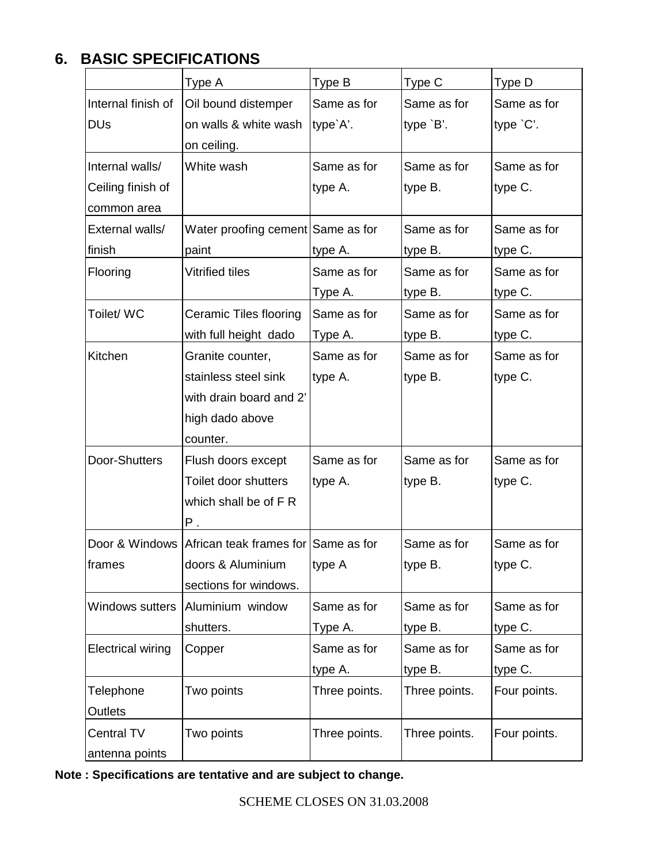# **6. BASIC SPECIFICATIONS**

|                                           | Type A                                                 | Type B        | Type C        | Type D       |
|-------------------------------------------|--------------------------------------------------------|---------------|---------------|--------------|
| Internal finish of<br>Oil bound distemper |                                                        | Same as for   | Same as for   | Same as for  |
| <b>DU<sub>s</sub></b>                     | on walls & white wash                                  | type`A'.      | type `B'.     | type 'C'.    |
|                                           | on ceiling.                                            |               |               |              |
| Internal walls/                           | White wash                                             | Same as for   | Same as for   | Same as for  |
| Ceiling finish of                         |                                                        | type A.       | type B.       | type C.      |
| common area                               |                                                        |               |               |              |
| External walls/                           | Water proofing cement Same as for                      |               | Same as for   | Same as for  |
| finish                                    | paint                                                  | type A.       | type B.       | type C.      |
| Flooring                                  | <b>Vitrified tiles</b>                                 | Same as for   | Same as for   | Same as for  |
|                                           |                                                        | Type A.       | type B.       | type C.      |
| Toilet/ WC                                | Ceramic Tiles flooring                                 | Same as for   | Same as for   | Same as for  |
|                                           | with full height dado                                  | Type A.       | type B.       | type C.      |
| Kitchen                                   | Granite counter,                                       | Same as for   | Same as for   | Same as for  |
|                                           | stainless steel sink                                   | type A.       | type B.       | type C.      |
|                                           | with drain board and 2'                                |               |               |              |
|                                           | high dado above                                        |               |               |              |
|                                           | counter.                                               |               |               |              |
| Door-Shutters                             | Flush doors except                                     | Same as for   | Same as for   | Same as for  |
|                                           | Toilet door shutters                                   | type A.       | type B.       | type C.      |
|                                           | which shall be of F R                                  |               |               |              |
|                                           | Ρ.                                                     |               |               |              |
|                                           | Door & Windows   African teak frames for   Same as for |               | Same as for   | Same as for  |
| frames                                    | doors & Aluminium                                      | type A        | type B.       | type C.      |
|                                           | sections for windows.                                  |               |               |              |
| Windows sutters                           | Aluminium window                                       | Same as for   | Same as for   | Same as for  |
|                                           | shutters.                                              | Type A.       | type B.       | type C.      |
| <b>Electrical wiring</b>                  | Copper                                                 | Same as for   | Same as for   | Same as for  |
|                                           |                                                        | type A.       | type B.       | type C.      |
| Telephone                                 | Two points                                             | Three points. | Three points. | Four points. |
| Outlets                                   |                                                        |               |               |              |
| <b>Central TV</b>                         | Two points                                             | Three points. | Three points. | Four points. |
| antenna points                            |                                                        |               |               |              |

|  |  | Note: Specifications are tentative and are subject to change. |
|--|--|---------------------------------------------------------------|
|--|--|---------------------------------------------------------------|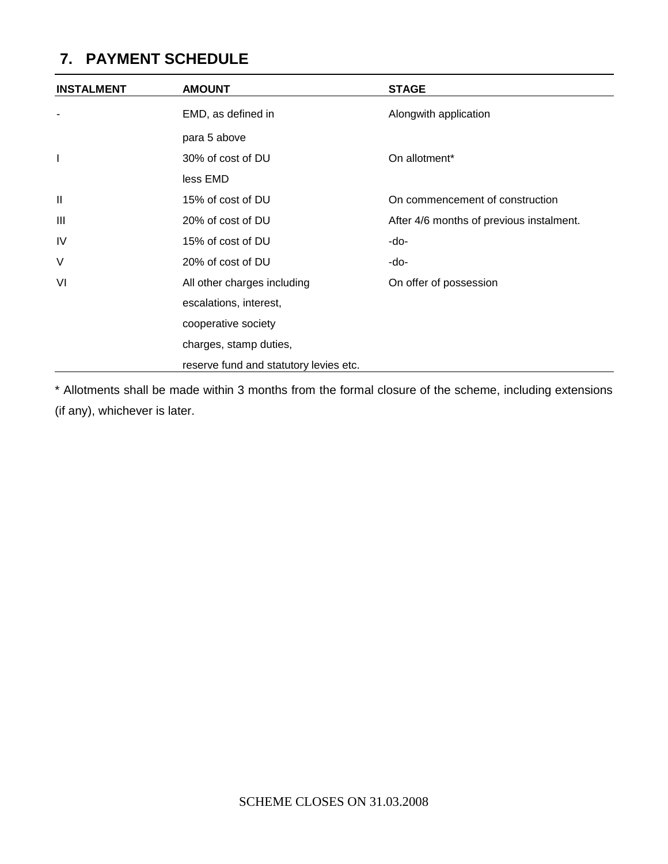# **7. PAYMENT SCHEDULE**

| <b>INSTALMENT</b>        | <b>AMOUNT</b>                          | <b>STAGE</b>                             |
|--------------------------|----------------------------------------|------------------------------------------|
| $\overline{\phantom{a}}$ | EMD, as defined in                     | Alongwith application                    |
|                          | para 5 above                           |                                          |
|                          | 30% of cost of DU                      | On allotment*                            |
|                          | less EMD                               |                                          |
| $\mathbf{  }$            | 15% of cost of DU                      | On commencement of construction          |
| $\mathbf{III}$           | 20% of cost of DU                      | After 4/6 months of previous instalment. |
| <b>IV</b>                | 15% of cost of DU                      | -do-                                     |
| V                        | 20% of cost of DU                      | -do-                                     |
| VI                       | All other charges including            | On offer of possession                   |
|                          | escalations, interest,                 |                                          |
|                          | cooperative society                    |                                          |
|                          | charges, stamp duties,                 |                                          |
|                          | reserve fund and statutory levies etc. |                                          |

\* Allotments shall be made within 3 months from the formal closure of the scheme, including extensions (if any), whichever is later.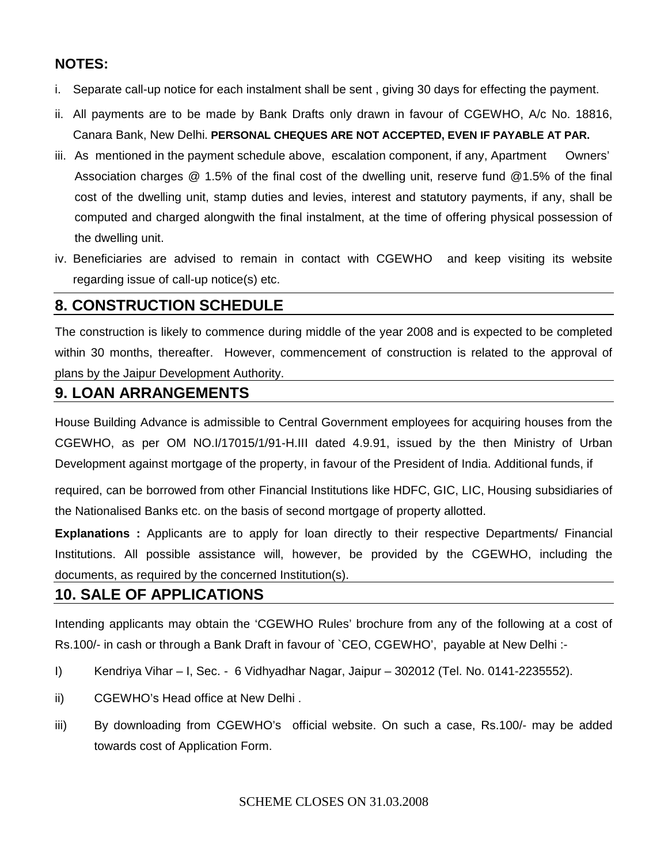#### **NOTES:**

- i. Separate call-up notice for each instalment shall be sent , giving 30 days for effecting the payment.
- ii. All payments are to be made by Bank Drafts only drawn in favour of CGEWHO, A/c No. 18816, Canara Bank, New Delhi. **PERSONAL CHEQUES ARE NOT ACCEPTED, EVEN IF PAYABLE AT PAR.**
- iii. As mentioned in the payment schedule above, escalation component, if any, Apartment Owners' Association charges @ 1.5% of the final cost of the dwelling unit, reserve fund @1.5% of the final cost of the dwelling unit, stamp duties and levies, interest and statutory payments, if any, shall be computed and charged alongwith the final instalment, at the time of offering physical possession of the dwelling unit.
- iv. Beneficiaries are advised to remain in contact with CGEWHO and keep visiting its website regarding issue of call-up notice(s) etc.

#### **8. CONSTRUCTION SCHEDULE**

The construction is likely to commence during middle of the year 2008 and is expected to be completed within 30 months, thereafter. However, commencement of construction is related to the approval of plans by the Jaipur Development Authority.

#### **9. LOAN ARRANGEMENTS**

House Building Advance is admissible to Central Government employees for acquiring houses from the CGEWHO, as per OM NO.I/17015/1/91-H.III dated 4.9.91, issued by the then Ministry of Urban Development against mortgage of the property, in favour of the President of India. Additional funds, if

required, can be borrowed from other Financial Institutions like HDFC, GIC, LIC, Housing subsidiaries of the Nationalised Banks etc. on the basis of second mortgage of property allotted.

**Explanations :** Applicants are to apply for loan directly to their respective Departments/ Financial Institutions. All possible assistance will, however, be provided by the CGEWHO, including the documents, as required by the concerned Institution(s).

#### **10. SALE OF APPLICATIONS**

Intending applicants may obtain the 'CGEWHO Rules' brochure from any of the following at a cost of Rs.100/- in cash or through a Bank Draft in favour of `CEO, CGEWHO', payable at New Delhi :-

- I) Kendriya Vihar I, Sec. 6 Vidhyadhar Nagar, Jaipur 302012 (Tel. No. 0141-2235552).
- ii) CGEWHO's Head office at New Delhi .
- iii) By downloading from CGEWHO's official website. On such a case, Rs.100/- may be added towards cost of Application Form.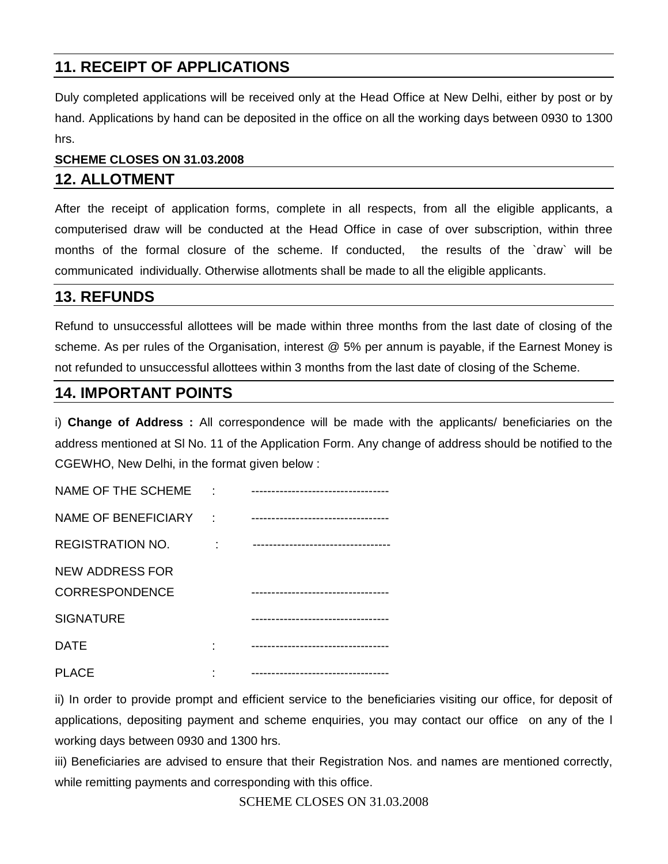# **11. RECEIPT OF APPLICATIONS**

Duly completed applications will be received only at the Head Office at New Delhi, either by post or by hand. Applications by hand can be deposited in the office on all the working days between 0930 to 1300 hrs.

## **SCHEME CLOSES ON 31.03.2008 12. ALLOTMENT**

After the receipt of application forms, complete in all respects, from all the eligible applicants, a computerised draw will be conducted at the Head Office in case of over subscription, within three months of the formal closure of the scheme. If conducted, the results of the `draw` will be communicated individually. Otherwise allotments shall be made to all the eligible applicants.

#### **13. REFUNDS**

Refund to unsuccessful allottees will be made within three months from the last date of closing of the scheme. As per rules of the Organisation, interest @ 5% per annum is payable, if the Earnest Money is not refunded to unsuccessful allottees within 3 months from the last date of closing of the Scheme.

#### **14. IMPORTANT POINTS**

i) **Change of Address :** All correspondence will be made with the applicants/ beneficiaries on the address mentioned at Sl No. 11 of the Application Form. Any change of address should be notified to the CGEWHO, New Delhi, in the format given below :

| NAME OF THE SCHEME         |                                   |
|----------------------------|-----------------------------------|
| <b>NAME OF BENEFICIARY</b> | --------------------------------- |
| <b>REGISTRATION NO.</b>    |                                   |
| <b>NEW ADDRESS FOR</b>     |                                   |
| <b>CORRESPONDENCE</b>      |                                   |
| <b>SIGNATURE</b>           |                                   |
| <b>DATE</b>                |                                   |
| <b>PLACE</b>               |                                   |

ii) In order to provide prompt and efficient service to the beneficiaries visiting our office, for deposit of applications, depositing payment and scheme enquiries, you may contact our office on any of the l working days between 0930 and 1300 hrs.

iii) Beneficiaries are advised to ensure that their Registration Nos. and names are mentioned correctly, while remitting payments and corresponding with this office.

SCHEME CLOSES ON 31.03.2008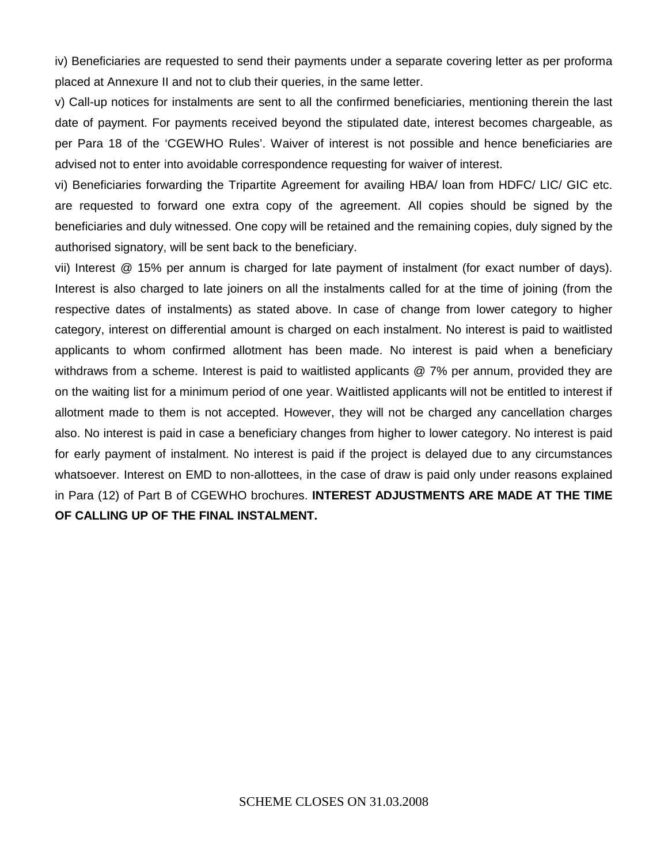iv) Beneficiaries are requested to send their payments under a separate covering letter as per proforma placed at Annexure II and not to club their queries, in the same letter.

v) Call-up notices for instalments are sent to all the confirmed beneficiaries, mentioning therein the last date of payment. For payments received beyond the stipulated date, interest becomes chargeable, as per Para 18 of the 'CGEWHO Rules'. Waiver of interest is not possible and hence beneficiaries are advised not to enter into avoidable correspondence requesting for waiver of interest.

vi) Beneficiaries forwarding the Tripartite Agreement for availing HBA/ loan from HDFC/ LIC/ GIC etc. are requested to forward one extra copy of the agreement. All copies should be signed by the beneficiaries and duly witnessed. One copy will be retained and the remaining copies, duly signed by the authorised signatory, will be sent back to the beneficiary.

vii) Interest @ 15% per annum is charged for late payment of instalment (for exact number of days). Interest is also charged to late joiners on all the instalments called for at the time of joining (from the respective dates of instalments) as stated above. In case of change from lower category to higher category, interest on differential amount is charged on each instalment. No interest is paid to waitlisted applicants to whom confirmed allotment has been made. No interest is paid when a beneficiary withdraws from a scheme. Interest is paid to waitlisted applicants @ 7% per annum, provided they are on the waiting list for a minimum period of one year. Waitlisted applicants will not be entitled to interest if allotment made to them is not accepted. However, they will not be charged any cancellation charges also. No interest is paid in case a beneficiary changes from higher to lower category. No interest is paid for early payment of instalment. No interest is paid if the project is delayed due to any circumstances whatsoever. Interest on EMD to non-allottees, in the case of draw is paid only under reasons explained in Para (12) of Part B of CGEWHO brochures. **INTEREST ADJUSTMENTS ARE MADE AT THE TIME OF CALLING UP OF THE FINAL INSTALMENT.**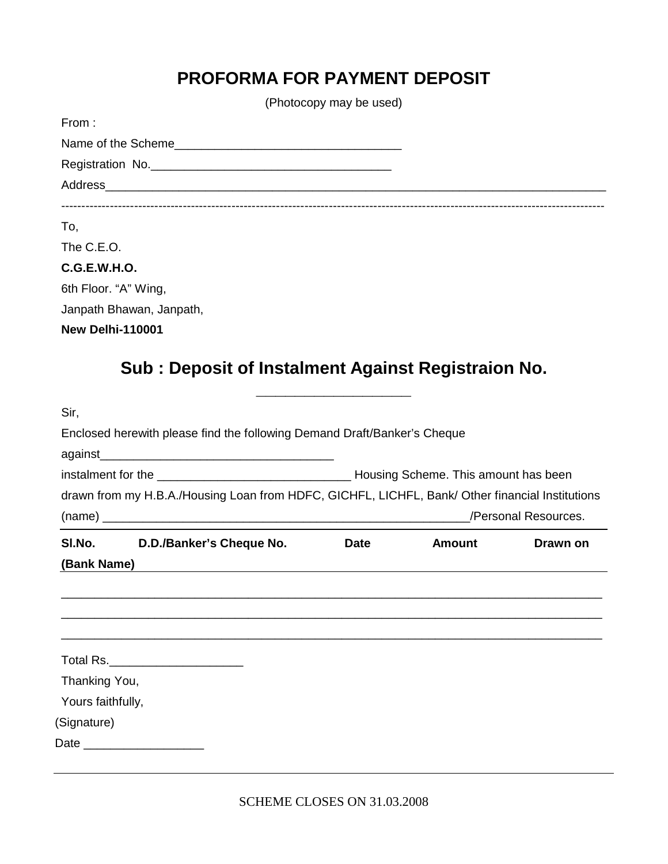# **PROFORMA FOR PAYMENT DEPOSIT**

(Photocopy may be used)

| From:                                              |  |
|----------------------------------------------------|--|
|                                                    |  |
| Registration No.                                   |  |
|                                                    |  |
|                                                    |  |
| To,                                                |  |
| The C.E.O.                                         |  |
| <b>C.G.E.W.H.O.</b>                                |  |
| 6th Floor. "A" Wing,                               |  |
| Janpath Bhawan, Janpath,                           |  |
| <b>New Delhi-110001</b>                            |  |
|                                                    |  |
| Sub: Deposit of Instalment Against Registraion No. |  |

# **\_\_\_\_\_\_\_\_\_\_\_\_\_\_\_\_** Sir, Enclosed herewith please find the following Demand Draft/Banker's Cheque against\_\_\_\_\_\_\_\_\_\_\_\_\_\_\_\_\_\_\_\_\_\_\_\_\_\_\_\_\_\_\_\_\_\_\_ instalment for the \_\_\_\_\_\_\_\_\_\_\_\_\_\_\_\_\_\_\_\_\_\_\_\_\_\_\_\_\_ Housing Scheme. This amount has been drawn from my H.B.A./Housing Loan from HDFC, GICHFL, LICHFL, Bank/ Other financial Institutions (name) \_\_\_\_\_\_\_\_\_\_\_\_\_\_\_\_\_\_\_\_\_\_\_\_\_\_\_\_\_\_\_\_\_\_\_\_\_\_\_\_\_\_\_\_\_\_\_\_\_\_\_\_\_\_\_/Personal Resources. **Sl.No. D.D./Banker's Cheque No. Date Amount Drawn on (Bank Name)** \_\_\_\_\_\_\_\_\_\_\_\_\_\_\_\_\_\_\_\_\_\_\_\_\_\_\_\_\_\_\_\_\_\_\_\_\_\_\_\_\_\_\_\_\_\_\_\_\_\_\_\_\_\_\_\_\_\_\_\_\_\_\_\_\_\_\_\_\_\_\_\_\_\_\_\_\_\_\_\_\_ \_\_\_\_\_\_\_\_\_\_\_\_\_\_\_\_\_\_\_\_\_\_\_\_\_\_\_\_\_\_\_\_\_\_\_\_\_\_\_\_\_\_\_\_\_\_\_\_\_\_\_\_\_\_\_\_\_\_\_\_\_\_\_\_\_\_\_\_\_\_\_\_\_\_\_\_\_\_\_\_\_ \_\_\_\_\_\_\_\_\_\_\_\_\_\_\_\_\_\_\_\_\_\_\_\_\_\_\_\_\_\_\_\_\_\_\_\_\_\_\_\_\_\_\_\_\_\_\_\_\_\_\_\_\_\_\_\_\_\_\_\_\_\_\_\_\_\_\_\_\_\_\_\_\_\_\_\_\_\_\_\_\_ Total Rs.\_\_\_\_\_\_\_\_\_\_\_\_\_\_\_\_\_\_\_\_ Thanking You, Yours faithfully, (Signature) Date \_\_\_\_\_\_\_\_\_\_\_\_\_\_\_\_\_\_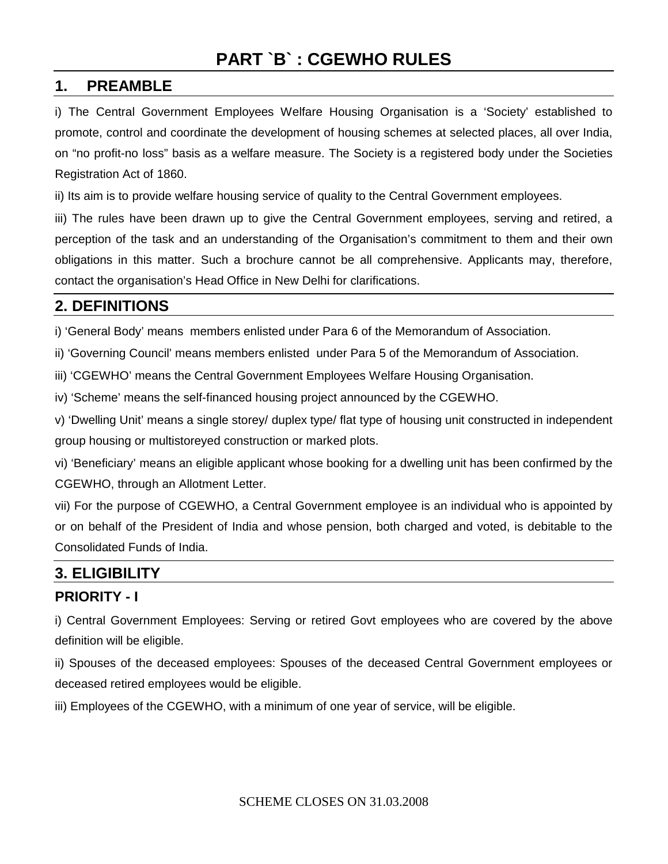# **PART `B` : CGEWHO RULES**

#### **1. PREAMBLE**

i) The Central Government Employees Welfare Housing Organisation is a 'Society' established to promote, control and coordinate the development of housing schemes at selected places, all over India, on "no profit-no loss" basis as a welfare measure. The Society is a registered body under the Societies Registration Act of 1860.

ii) Its aim is to provide welfare housing service of quality to the Central Government employees.

iii) The rules have been drawn up to give the Central Government employees, serving and retired, a perception of the task and an understanding of the Organisation's commitment to them and their own obligations in this matter. Such a brochure cannot be all comprehensive. Applicants may, therefore, contact the organisation's Head Office in New Delhi for clarifications.

#### **2. DEFINITIONS**

i) 'General Body' means members enlisted under Para 6 of the Memorandum of Association.

ii) 'Governing Council' means members enlisted under Para 5 of the Memorandum of Association.

iii) 'CGEWHO' means the Central Government Employees Welfare Housing Organisation.

iv) 'Scheme' means the self-financed housing project announced by the CGEWHO.

v) 'Dwelling Unit' means a single storey/ duplex type/ flat type of housing unit constructed in independent group housing or multistoreyed construction or marked plots.

vi) 'Beneficiary' means an eligible applicant whose booking for a dwelling unit has been confirmed by the CGEWHO, through an Allotment Letter.

vii) For the purpose of CGEWHO, a Central Government employee is an individual who is appointed by or on behalf of the President of India and whose pension, both charged and voted, is debitable to the Consolidated Funds of India.

### **3. ELIGIBILITY**

#### **PRIORITY - I**

i) Central Government Employees: Serving or retired Govt employees who are covered by the above definition will be eligible.

ii) Spouses of the deceased employees: Spouses of the deceased Central Government employees or deceased retired employees would be eligible.

iii) Employees of the CGEWHO, with a minimum of one year of service, will be eligible.

SCHEME CLOSES ON 31.03.2008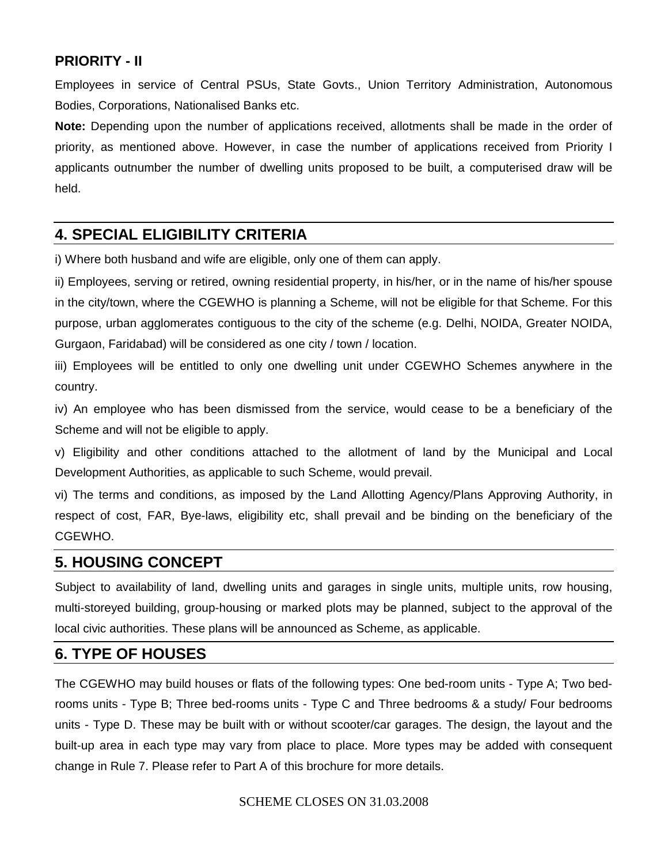#### **PRIORITY - II**

Employees in service of Central PSUs, State Govts., Union Territory Administration, Autonomous Bodies, Corporations, Nationalised Banks etc.

**Note:** Depending upon the number of applications received, allotments shall be made in the order of priority, as mentioned above. However, in case the number of applications received from Priority I applicants outnumber the number of dwelling units proposed to be built, a computerised draw will be held.

### **4. SPECIAL ELIGIBILITY CRITERIA**

i) Where both husband and wife are eligible, only one of them can apply.

ii) Employees, serving or retired, owning residential property, in his/her, or in the name of his/her spouse in the city/town, where the CGEWHO is planning a Scheme, will not be eligible for that Scheme. For this purpose, urban agglomerates contiguous to the city of the scheme (e.g. Delhi, NOIDA, Greater NOIDA, Gurgaon, Faridabad) will be considered as one city / town / location.

iii) Employees will be entitled to only one dwelling unit under CGEWHO Schemes anywhere in the country.

iv) An employee who has been dismissed from the service, would cease to be a beneficiary of the Scheme and will not be eligible to apply.

v) Eligibility and other conditions attached to the allotment of land by the Municipal and Local Development Authorities, as applicable to such Scheme, would prevail.

vi) The terms and conditions, as imposed by the Land Allotting Agency/Plans Approving Authority, in respect of cost, FAR, Bye-laws, eligibility etc, shall prevail and be binding on the beneficiary of the CGEWHO.

#### **5. HOUSING CONCEPT**

Subject to availability of land, dwelling units and garages in single units, multiple units, row housing, multi-storeyed building, group-housing or marked plots may be planned, subject to the approval of the local civic authorities. These plans will be announced as Scheme, as applicable.

#### **6. TYPE OF HOUSES**

The CGEWHO may build houses or flats of the following types: One bed-room units - Type A; Two bedrooms units - Type B; Three bed-rooms units - Type C and Three bedrooms & a study/ Four bedrooms units - Type D. These may be built with or without scooter/car garages. The design, the layout and the built-up area in each type may vary from place to place. More types may be added with consequent change in Rule 7. Please refer to Part A of this brochure for more details.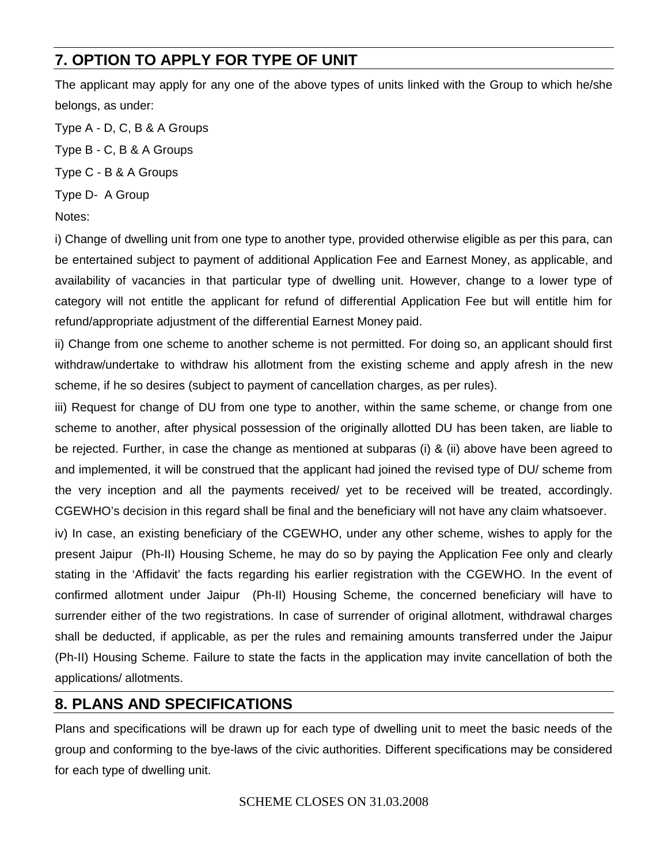# **7. OPTION TO APPLY FOR TYPE OF UNIT**

The applicant may apply for any one of the above types of units linked with the Group to which he/she belongs, as under:

Type A - D, C, B & A Groups

Type B - C, B & A Groups

Type C - B & A Groups

Type D- A Group

Notes:

i) Change of dwelling unit from one type to another type, provided otherwise eligible as per this para, can be entertained subject to payment of additional Application Fee and Earnest Money, as applicable, and availability of vacancies in that particular type of dwelling unit. However, change to a lower type of category will not entitle the applicant for refund of differential Application Fee but will entitle him for refund/appropriate adjustment of the differential Earnest Money paid.

ii) Change from one scheme to another scheme is not permitted. For doing so, an applicant should first withdraw/undertake to withdraw his allotment from the existing scheme and apply afresh in the new scheme, if he so desires (subject to payment of cancellation charges, as per rules).

iii) Request for change of DU from one type to another, within the same scheme, or change from one scheme to another, after physical possession of the originally allotted DU has been taken, are liable to be rejected. Further, in case the change as mentioned at subparas (i) & (ii) above have been agreed to and implemented, it will be construed that the applicant had joined the revised type of DU/ scheme from the very inception and all the payments received/ yet to be received will be treated, accordingly. CGEWHO's decision in this regard shall be final and the beneficiary will not have any claim whatsoever.

iv) In case, an existing beneficiary of the CGEWHO, under any other scheme, wishes to apply for the present Jaipur (Ph-II) Housing Scheme, he may do so by paying the Application Fee only and clearly stating in the 'Affidavit' the facts regarding his earlier registration with the CGEWHO. In the event of confirmed allotment under Jaipur (Ph-II) Housing Scheme, the concerned beneficiary will have to surrender either of the two registrations. In case of surrender of original allotment, withdrawal charges shall be deducted, if applicable, as per the rules and remaining amounts transferred under the Jaipur (Ph-II) Housing Scheme. Failure to state the facts in the application may invite cancellation of both the applications/ allotments.

## **8. PLANS AND SPECIFICATIONS**

Plans and specifications will be drawn up for each type of dwelling unit to meet the basic needs of the group and conforming to the bye-laws of the civic authorities. Different specifications may be considered for each type of dwelling unit.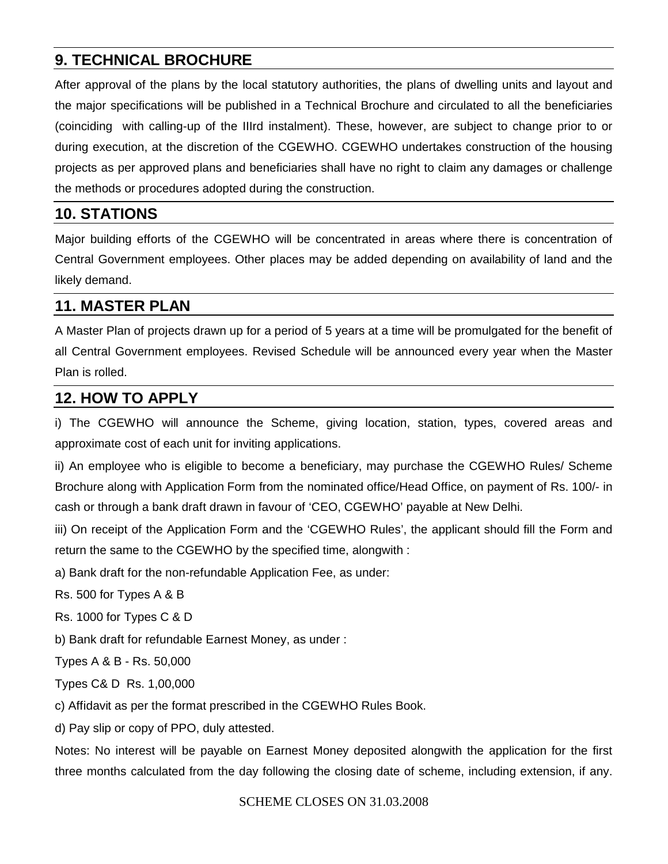### **9. TECHNICAL BROCHURE**

After approval of the plans by the local statutory authorities, the plans of dwelling units and layout and the major specifications will be published in a Technical Brochure and circulated to all the beneficiaries (coinciding with calling-up of the IIIrd instalment). These, however, are subject to change prior to or during execution, at the discretion of the CGEWHO. CGEWHO undertakes construction of the housing projects as per approved plans and beneficiaries shall have no right to claim any damages or challenge the methods or procedures adopted during the construction.

#### **10. STATIONS**

Major building efforts of the CGEWHO will be concentrated in areas where there is concentration of Central Government employees. Other places may be added depending on availability of land and the likely demand.

### **11. MASTER PLAN**

A Master Plan of projects drawn up for a period of 5 years at a time will be promulgated for the benefit of all Central Government employees. Revised Schedule will be announced every year when the Master Plan is rolled.

### **12. HOW TO APPLY**

i) The CGEWHO will announce the Scheme, giving location, station, types, covered areas and approximate cost of each unit for inviting applications.

ii) An employee who is eligible to become a beneficiary, may purchase the CGEWHO Rules/ Scheme Brochure along with Application Form from the nominated office/Head Office, on payment of Rs. 100/- in cash or through a bank draft drawn in favour of 'CEO, CGEWHO' payable at New Delhi.

iii) On receipt of the Application Form and the 'CGEWHO Rules', the applicant should fill the Form and return the same to the CGEWHO by the specified time, alongwith :

a) Bank draft for the non-refundable Application Fee, as under:

Rs. 500 for Types A & B

Rs. 1000 for Types C & D

b) Bank draft for refundable Earnest Money, as under :

Types A & B - Rs. 50,000

Types C& D Rs. 1,00,000

c) Affidavit as per the format prescribed in the CGEWHO Rules Book.

d) Pay slip or copy of PPO, duly attested.

Notes: No interest will be payable on Earnest Money deposited alongwith the application for the first three months calculated from the day following the closing date of scheme, including extension, if any.

#### SCHEME CLOSES ON 31.03.2008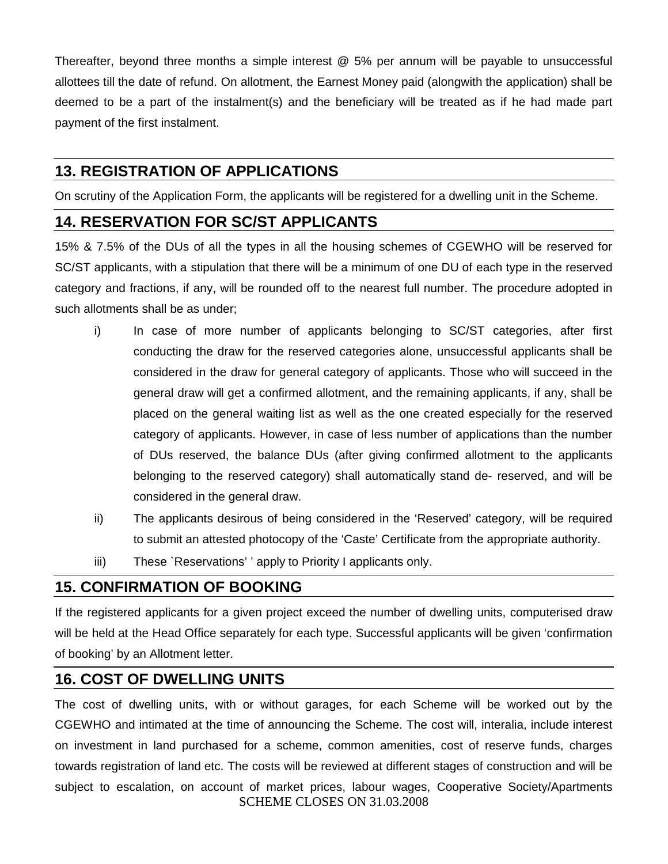Thereafter, beyond three months a simple interest @ 5% per annum will be payable to unsuccessful allottees till the date of refund. On allotment, the Earnest Money paid (alongwith the application) shall be deemed to be a part of the instalment(s) and the beneficiary will be treated as if he had made part payment of the first instalment.

### **13. REGISTRATION OF APPLICATIONS**

On scrutiny of the Application Form, the applicants will be registered for a dwelling unit in the Scheme.

### **14. RESERVATION FOR SC/ST APPLICANTS**

15% & 7.5% of the DUs of all the types in all the housing schemes of CGEWHO will be reserved for SC/ST applicants, with a stipulation that there will be a minimum of one DU of each type in the reserved category and fractions, if any, will be rounded off to the nearest full number. The procedure adopted in such allotments shall be as under;

- i) In case of more number of applicants belonging to SC/ST categories, after first conducting the draw for the reserved categories alone, unsuccessful applicants shall be considered in the draw for general category of applicants. Those who will succeed in the general draw will get a confirmed allotment, and the remaining applicants, if any, shall be placed on the general waiting list as well as the one created especially for the reserved category of applicants. However, in case of less number of applications than the number of DUs reserved, the balance DUs (after giving confirmed allotment to the applicants belonging to the reserved category) shall automatically stand de- reserved, and will be considered in the general draw.
- ii) The applicants desirous of being considered in the 'Reserved' category, will be required to submit an attested photocopy of the 'Caste' Certificate from the appropriate authority.
- iii) These `Reservations' ' apply to Priority I applicants only.

### **15. CONFIRMATION OF BOOKING**

If the registered applicants for a given project exceed the number of dwelling units, computerised draw will be held at the Head Office separately for each type. Successful applicants will be given 'confirmation of booking' by an Allotment letter.

### **16. COST OF DWELLING UNITS**

SCHEME CLOSES ON 31.03.2008 The cost of dwelling units, with or without garages, for each Scheme will be worked out by the CGEWHO and intimated at the time of announcing the Scheme. The cost will, interalia, include interest on investment in land purchased for a scheme, common amenities, cost of reserve funds, charges towards registration of land etc. The costs will be reviewed at different stages of construction and will be subject to escalation, on account of market prices, labour wages, Cooperative Society/Apartments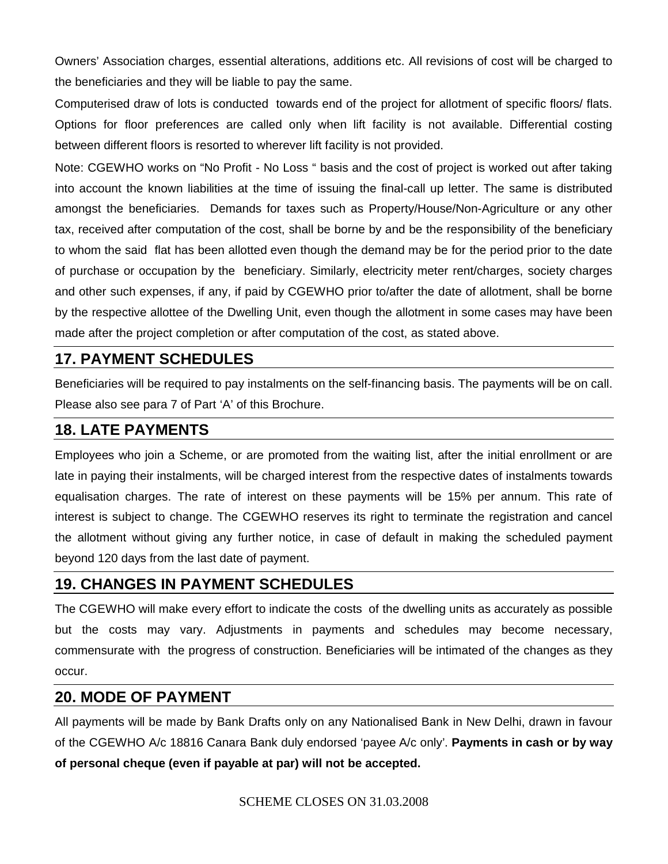Owners' Association charges, essential alterations, additions etc. All revisions of cost will be charged to the beneficiaries and they will be liable to pay the same.

Computerised draw of lots is conducted towards end of the project for allotment of specific floors/ flats. Options for floor preferences are called only when lift facility is not available. Differential costing between different floors is resorted to wherever lift facility is not provided.

Note: CGEWHO works on "No Profit - No Loss " basis and the cost of project is worked out after taking into account the known liabilities at the time of issuing the final-call up letter. The same is distributed amongst the beneficiaries. Demands for taxes such as Property/House/Non-Agriculture or any other tax, received after computation of the cost, shall be borne by and be the responsibility of the beneficiary to whom the said flat has been allotted even though the demand may be for the period prior to the date of purchase or occupation by the beneficiary. Similarly, electricity meter rent/charges, society charges and other such expenses, if any, if paid by CGEWHO prior to/after the date of allotment, shall be borne by the respective allottee of the Dwelling Unit, even though the allotment in some cases may have been made after the project completion or after computation of the cost, as stated above.

### **17. PAYMENT SCHEDULES**

Beneficiaries will be required to pay instalments on the self-financing basis. The payments will be on call. Please also see para 7 of Part 'A' of this Brochure.

#### **18. LATE PAYMENTS**

Employees who join a Scheme, or are promoted from the waiting list, after the initial enrollment or are late in paying their instalments, will be charged interest from the respective dates of instalments towards equalisation charges. The rate of interest on these payments will be 15% per annum. This rate of interest is subject to change. The CGEWHO reserves its right to terminate the registration and cancel the allotment without giving any further notice, in case of default in making the scheduled payment beyond 120 days from the last date of payment.

### **19. CHANGES IN PAYMENT SCHEDULES**

The CGEWHO will make every effort to indicate the costs of the dwelling units as accurately as possible but the costs may vary. Adjustments in payments and schedules may become necessary, commensurate with the progress of construction. Beneficiaries will be intimated of the changes as they occur.

#### **20. MODE OF PAYMENT**

All payments will be made by Bank Drafts only on any Nationalised Bank in New Delhi, drawn in favour of the CGEWHO A/c 18816 Canara Bank duly endorsed 'payee A/c only'. **Payments in cash or by way of personal cheque (even if payable at par) will not be accepted.**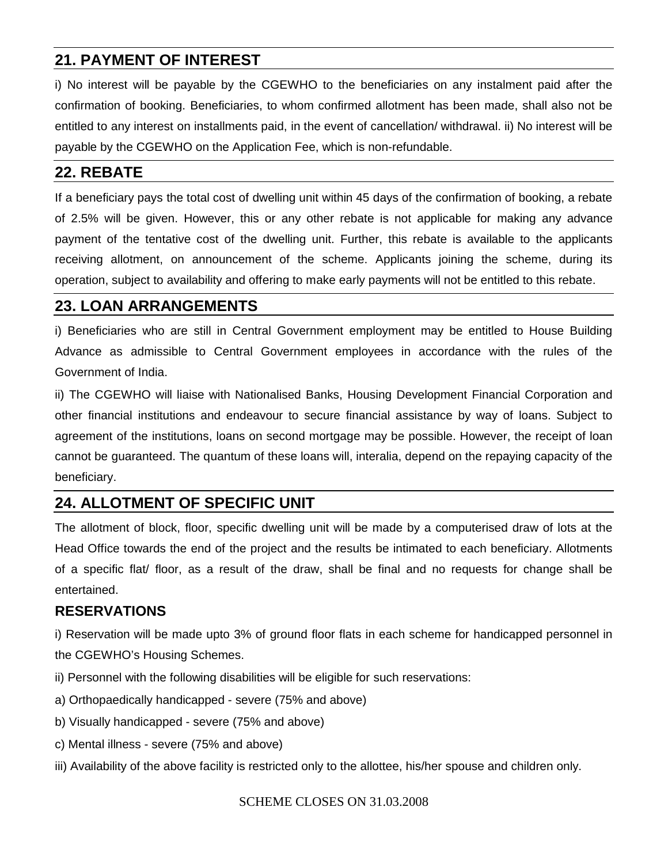#### **21. PAYMENT OF INTEREST**

i) No interest will be payable by the CGEWHO to the beneficiaries on any instalment paid after the confirmation of booking. Beneficiaries, to whom confirmed allotment has been made, shall also not be entitled to any interest on installments paid, in the event of cancellation/ withdrawal. ii) No interest will be payable by the CGEWHO on the Application Fee, which is non-refundable.

#### **22. REBATE**

If a beneficiary pays the total cost of dwelling unit within 45 days of the confirmation of booking, a rebate of 2.5% will be given. However, this or any other rebate is not applicable for making any advance payment of the tentative cost of the dwelling unit. Further, this rebate is available to the applicants receiving allotment, on announcement of the scheme. Applicants joining the scheme, during its operation, subject to availability and offering to make early payments will not be entitled to this rebate.

#### **23. LOAN ARRANGEMENTS**

i) Beneficiaries who are still in Central Government employment may be entitled to House Building Advance as admissible to Central Government employees in accordance with the rules of the Government of India.

ii) The CGEWHO will liaise with Nationalised Banks, Housing Development Financial Corporation and other financial institutions and endeavour to secure financial assistance by way of loans. Subject to agreement of the institutions, loans on second mortgage may be possible. However, the receipt of loan cannot be guaranteed. The quantum of these loans will, interalia, depend on the repaying capacity of the beneficiary.

## **24. ALLOTMENT OF SPECIFIC UNIT**

The allotment of block, floor, specific dwelling unit will be made by a computerised draw of lots at the Head Office towards the end of the project and the results be intimated to each beneficiary. Allotments of a specific flat/ floor, as a result of the draw, shall be final and no requests for change shall be entertained.

#### **RESERVATIONS**

i) Reservation will be made upto 3% of ground floor flats in each scheme for handicapped personnel in the CGEWHO's Housing Schemes.

- ii) Personnel with the following disabilities will be eligible for such reservations:
- a) Orthopaedically handicapped severe (75% and above)
- b) Visually handicapped severe (75% and above)
- c) Mental illness severe (75% and above)
- iii) Availability of the above facility is restricted only to the allottee, his/her spouse and children only.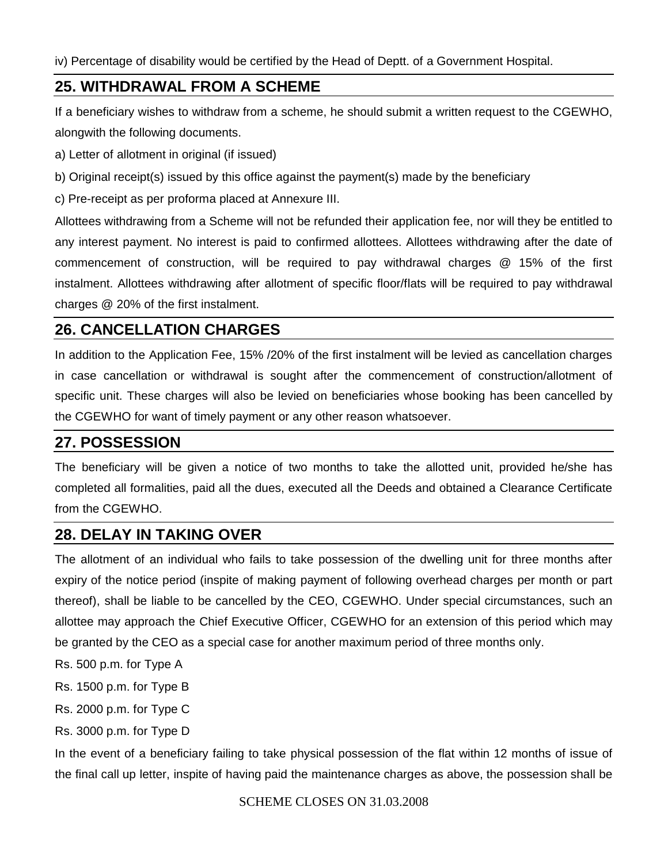iv) Percentage of disability would be certified by the Head of Deptt. of a Government Hospital.

#### **25. WITHDRAWAL FROM A SCHEME**

If a beneficiary wishes to withdraw from a scheme, he should submit a written request to the CGEWHO, alongwith the following documents.

- a) Letter of allotment in original (if issued)
- b) Original receipt(s) issued by this office against the payment(s) made by the beneficiary

c) Pre-receipt as per proforma placed at Annexure III.

Allottees withdrawing from a Scheme will not be refunded their application fee, nor will they be entitled to any interest payment. No interest is paid to confirmed allottees. Allottees withdrawing after the date of commencement of construction, will be required to pay withdrawal charges @ 15% of the first instalment. Allottees withdrawing after allotment of specific floor/flats will be required to pay withdrawal charges @ 20% of the first instalment.

#### **26. CANCELLATION CHARGES**

In addition to the Application Fee, 15% /20% of the first instalment will be levied as cancellation charges in case cancellation or withdrawal is sought after the commencement of construction/allotment of specific unit. These charges will also be levied on beneficiaries whose booking has been cancelled by the CGEWHO for want of timely payment or any other reason whatsoever.

#### **27. POSSESSION**

The beneficiary will be given a notice of two months to take the allotted unit, provided he/she has completed all formalities, paid all the dues, executed all the Deeds and obtained a Clearance Certificate from the CGEWHO.

#### **28. DELAY IN TAKING OVER**

The allotment of an individual who fails to take possession of the dwelling unit for three months after expiry of the notice period (inspite of making payment of following overhead charges per month or part thereof), shall be liable to be cancelled by the CEO, CGEWHO. Under special circumstances, such an allottee may approach the Chief Executive Officer, CGEWHO for an extension of this period which may be granted by the CEO as a special case for another maximum period of three months only.

- Rs. 500 p.m. for Type A
- Rs. 1500 p.m. for Type B
- Rs. 2000 p.m. for Type C
- Rs. 3000 p.m. for Type D

In the event of a beneficiary failing to take physical possession of the flat within 12 months of issue of the final call up letter, inspite of having paid the maintenance charges as above, the possession shall be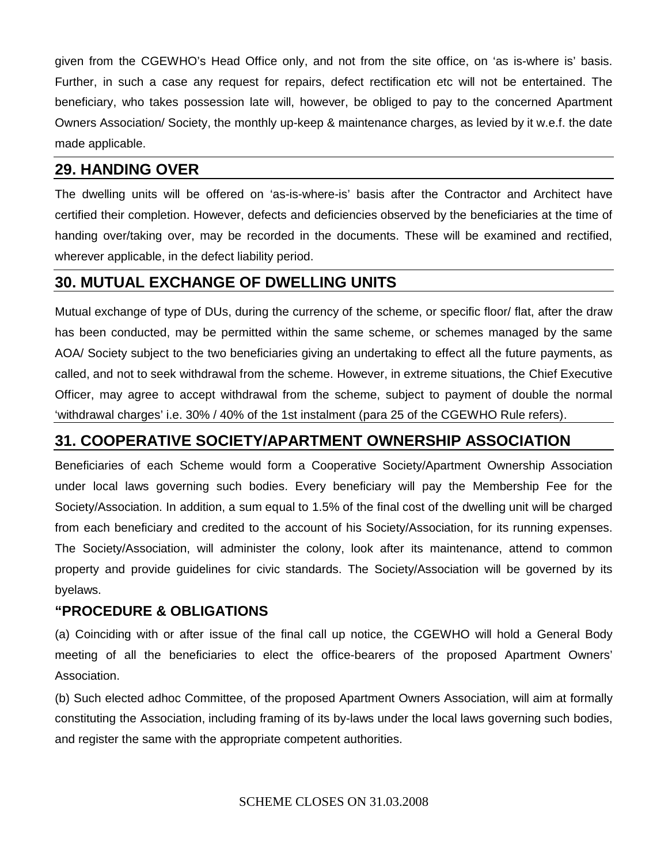given from the CGEWHO's Head Office only, and not from the site office, on 'as is-where is' basis. Further, in such a case any request for repairs, defect rectification etc will not be entertained. The beneficiary, who takes possession late will, however, be obliged to pay to the concerned Apartment Owners Association/ Society, the monthly up-keep & maintenance charges, as levied by it w.e.f. the date made applicable.

#### **29. HANDING OVER**

The dwelling units will be offered on 'as-is-where-is' basis after the Contractor and Architect have certified their completion. However, defects and deficiencies observed by the beneficiaries at the time of handing over/taking over, may be recorded in the documents. These will be examined and rectified, wherever applicable, in the defect liability period.

#### **30. MUTUAL EXCHANGE OF DWELLING UNITS**

Mutual exchange of type of DUs, during the currency of the scheme, or specific floor/ flat, after the draw has been conducted, may be permitted within the same scheme, or schemes managed by the same AOA/ Society subject to the two beneficiaries giving an undertaking to effect all the future payments, as called, and not to seek withdrawal from the scheme. However, in extreme situations, the Chief Executive Officer, may agree to accept withdrawal from the scheme, subject to payment of double the normal 'withdrawal charges' i.e. 30% / 40% of the 1st instalment (para 25 of the CGEWHO Rule refers).

### **31. COOPERATIVE SOCIETY/APARTMENT OWNERSHIP ASSOCIATION**

Beneficiaries of each Scheme would form a Cooperative Society/Apartment Ownership Association under local laws governing such bodies. Every beneficiary will pay the Membership Fee for the Society/Association. In addition, a sum equal to 1.5% of the final cost of the dwelling unit will be charged from each beneficiary and credited to the account of his Society/Association, for its running expenses. The Society/Association, will administer the colony, look after its maintenance, attend to common property and provide guidelines for civic standards. The Society/Association will be governed by its byelaws.

#### **"PROCEDURE & OBLIGATIONS**

(a) Coinciding with or after issue of the final call up notice, the CGEWHO will hold a General Body meeting of all the beneficiaries to elect the office-bearers of the proposed Apartment Owners' Association.

(b) Such elected adhoc Committee, of the proposed Apartment Owners Association, will aim at formally constituting the Association, including framing of its by-laws under the local laws governing such bodies, and register the same with the appropriate competent authorities.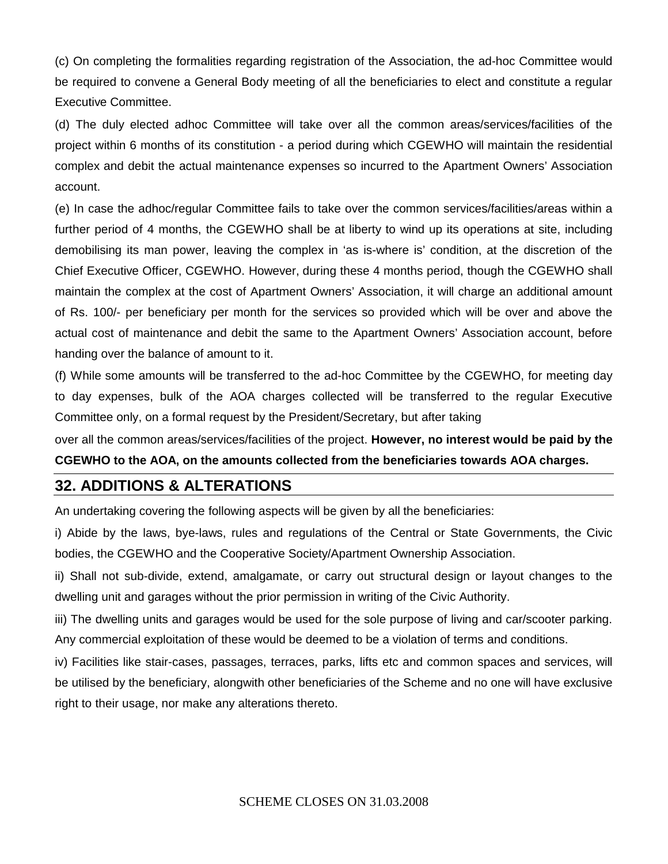(c) On completing the formalities regarding registration of the Association, the ad-hoc Committee would be required to convene a General Body meeting of all the beneficiaries to elect and constitute a regular Executive Committee.

(d) The duly elected adhoc Committee will take over all the common areas/services/facilities of the project within 6 months of its constitution - a period during which CGEWHO will maintain the residential complex and debit the actual maintenance expenses so incurred to the Apartment Owners' Association account.

(e) In case the adhoc/regular Committee fails to take over the common services/facilities/areas within a further period of 4 months, the CGEWHO shall be at liberty to wind up its operations at site, including demobilising its man power, leaving the complex in 'as is-where is' condition, at the discretion of the Chief Executive Officer, CGEWHO. However, during these 4 months period, though the CGEWHO shall maintain the complex at the cost of Apartment Owners' Association, it will charge an additional amount of Rs. 100/- per beneficiary per month for the services so provided which will be over and above the actual cost of maintenance and debit the same to the Apartment Owners' Association account, before handing over the balance of amount to it.

(f) While some amounts will be transferred to the ad-hoc Committee by the CGEWHO, for meeting day to day expenses, bulk of the AOA charges collected will be transferred to the regular Executive Committee only, on a formal request by the President/Secretary, but after taking

over all the common areas/services/facilities of the project. **However, no interest would be paid by the CGEWHO to the AOA, on the amounts collected from the beneficiaries towards AOA charges.** 

#### **32. ADDITIONS & ALTERATIONS**

An undertaking covering the following aspects will be given by all the beneficiaries:

i) Abide by the laws, bye-laws, rules and regulations of the Central or State Governments, the Civic bodies, the CGEWHO and the Cooperative Society/Apartment Ownership Association.

ii) Shall not sub-divide, extend, amalgamate, or carry out structural design or layout changes to the dwelling unit and garages without the prior permission in writing of the Civic Authority.

iii) The dwelling units and garages would be used for the sole purpose of living and car/scooter parking. Any commercial exploitation of these would be deemed to be a violation of terms and conditions.

iv) Facilities like stair-cases, passages, terraces, parks, lifts etc and common spaces and services, will be utilised by the beneficiary, alongwith other beneficiaries of the Scheme and no one will have exclusive right to their usage, nor make any alterations thereto.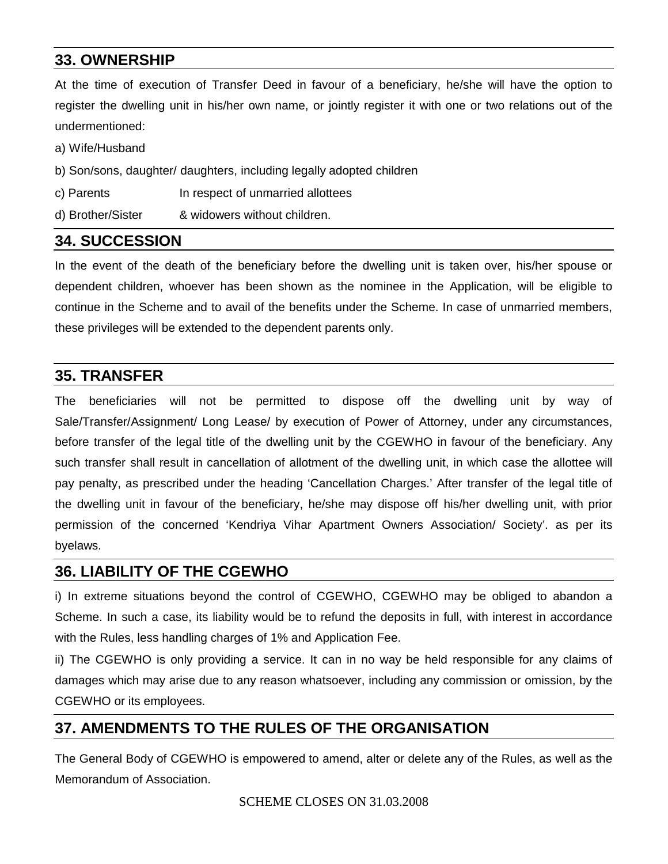#### **33. OWNERSHIP**

At the time of execution of Transfer Deed in favour of a beneficiary, he/she will have the option to register the dwelling unit in his/her own name, or jointly register it with one or two relations out of the undermentioned:

a) Wife/Husband

- b) Son/sons, daughter/ daughters, including legally adopted children
- c) Parents **In respect of unmarried allottees**
- d) Brother/Sister & widowers without children.

#### **34. SUCCESSION**

In the event of the death of the beneficiary before the dwelling unit is taken over, his/her spouse or dependent children, whoever has been shown as the nominee in the Application, will be eligible to continue in the Scheme and to avail of the benefits under the Scheme. In case of unmarried members, these privileges will be extended to the dependent parents only.

#### **35. TRANSFER**

The beneficiaries will not be permitted to dispose off the dwelling unit by way of Sale/Transfer/Assignment/ Long Lease/ by execution of Power of Attorney, under any circumstances, before transfer of the legal title of the dwelling unit by the CGEWHO in favour of the beneficiary. Any such transfer shall result in cancellation of allotment of the dwelling unit, in which case the allottee will pay penalty, as prescribed under the heading 'Cancellation Charges.' After transfer of the legal title of the dwelling unit in favour of the beneficiary, he/she may dispose off his/her dwelling unit, with prior permission of the concerned 'Kendriya Vihar Apartment Owners Association/ Society'. as per its byelaws.

#### **36. LIABILITY OF THE CGEWHO**

i) In extreme situations beyond the control of CGEWHO, CGEWHO may be obliged to abandon a Scheme. In such a case, its liability would be to refund the deposits in full, with interest in accordance with the Rules, less handling charges of 1% and Application Fee.

ii) The CGEWHO is only providing a service. It can in no way be held responsible for any claims of damages which may arise due to any reason whatsoever, including any commission or omission, by the CGEWHO or its employees.

### **37. AMENDMENTS TO THE RULES OF THE ORGANISATION**

The General Body of CGEWHO is empowered to amend, alter or delete any of the Rules, as well as the Memorandum of Association.

#### SCHEME CLOSES ON 31.03.2008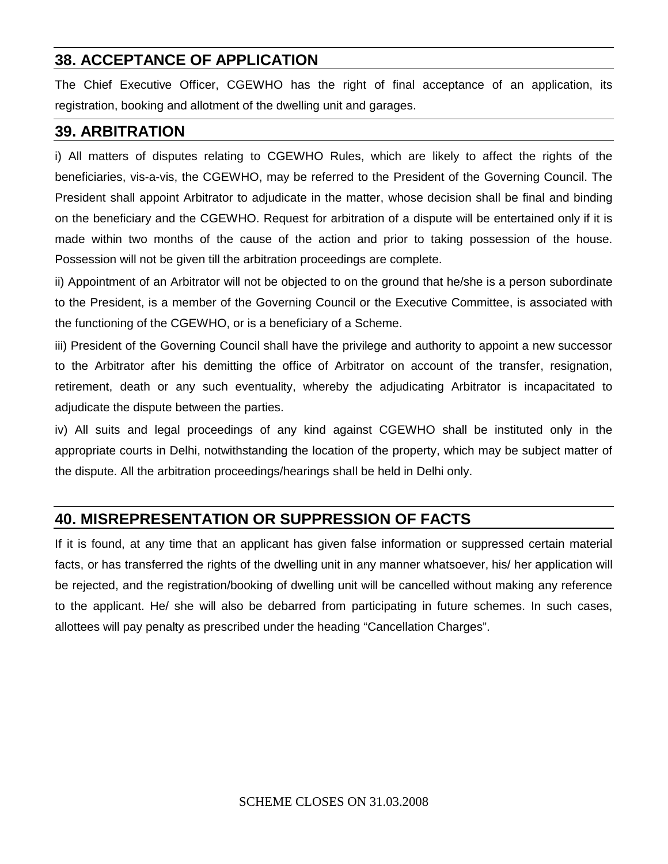### **38. ACCEPTANCE OF APPLICATION**

The Chief Executive Officer, CGEWHO has the right of final acceptance of an application, its registration, booking and allotment of the dwelling unit and garages.

#### **39. ARBITRATION**

i) All matters of disputes relating to CGEWHO Rules, which are likely to affect the rights of the beneficiaries, vis-a-vis, the CGEWHO, may be referred to the President of the Governing Council. The President shall appoint Arbitrator to adjudicate in the matter, whose decision shall be final and binding on the beneficiary and the CGEWHO. Request for arbitration of a dispute will be entertained only if it is made within two months of the cause of the action and prior to taking possession of the house. Possession will not be given till the arbitration proceedings are complete.

ii) Appointment of an Arbitrator will not be objected to on the ground that he/she is a person subordinate to the President, is a member of the Governing Council or the Executive Committee, is associated with the functioning of the CGEWHO, or is a beneficiary of a Scheme.

iii) President of the Governing Council shall have the privilege and authority to appoint a new successor to the Arbitrator after his demitting the office of Arbitrator on account of the transfer, resignation, retirement, death or any such eventuality, whereby the adjudicating Arbitrator is incapacitated to adjudicate the dispute between the parties.

iv) All suits and legal proceedings of any kind against CGEWHO shall be instituted only in the appropriate courts in Delhi, notwithstanding the location of the property, which may be subject matter of the dispute. All the arbitration proceedings/hearings shall be held in Delhi only.

## **40. MISREPRESENTATION OR SUPPRESSION OF FACTS**

If it is found, at any time that an applicant has given false information or suppressed certain material facts, or has transferred the rights of the dwelling unit in any manner whatsoever, his/ her application will be rejected, and the registration/booking of dwelling unit will be cancelled without making any reference to the applicant. He/ she will also be debarred from participating in future schemes. In such cases, allottees will pay penalty as prescribed under the heading "Cancellation Charges".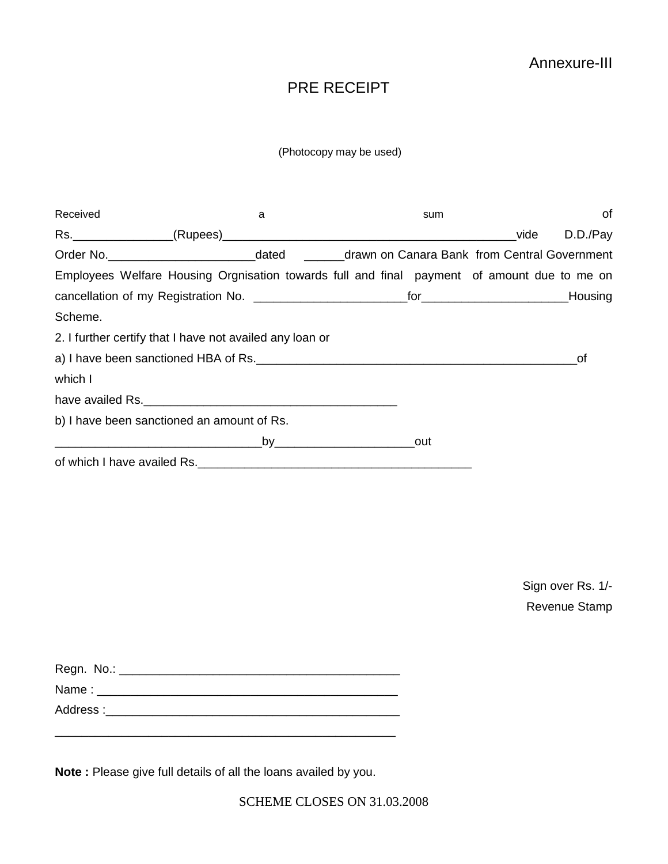#### Annexure-III

### PRE RECEIPT

#### (Photocopy may be used)

| Received                                                                                           | a |  | sum |      | 0f       |
|----------------------------------------------------------------------------------------------------|---|--|-----|------|----------|
|                                                                                                    |   |  |     | vide | D.D./Pay |
| Order No. _____________________________dated _________drawn on Canara Bank from Central Government |   |  |     |      |          |
| Employees Welfare Housing Orgnisation towards full and final payment of amount due to me on        |   |  |     |      |          |
|                                                                                                    |   |  |     |      |          |
| Scheme.                                                                                            |   |  |     |      |          |
| 2. I further certify that I have not availed any loan or                                           |   |  |     |      |          |
|                                                                                                    |   |  |     |      | οf       |
| which I                                                                                            |   |  |     |      |          |
| have availed Rs.                                                                                   |   |  |     |      |          |
| b) I have been sanctioned an amount of Rs.                                                         |   |  |     |      |          |
|                                                                                                    |   |  |     |      |          |
|                                                                                                    |   |  |     |      |          |
|                                                                                                    |   |  |     |      |          |

Sign over Rs. 1/- Revenue Stamp

| Regn. No.: |  |
|------------|--|
| Name:      |  |
| Address:   |  |

\_\_\_\_\_\_\_\_\_\_\_\_\_\_\_\_\_\_\_\_\_\_\_\_\_\_\_\_\_\_\_\_\_\_\_\_\_\_\_\_\_\_\_\_\_\_\_\_\_\_\_

**Note :** Please give full details of all the loans availed by you.

SCHEME CLOSES ON 31.03.2008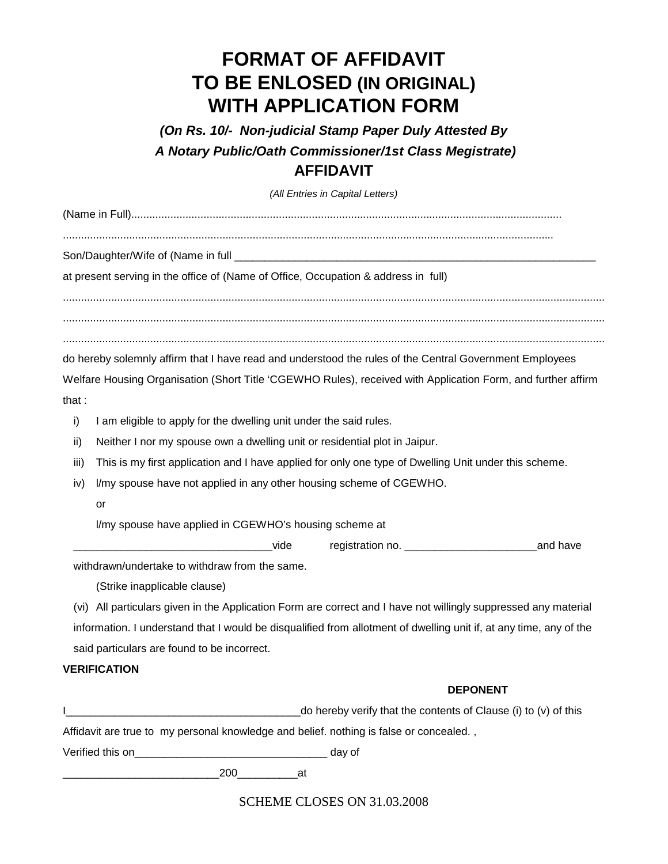# **FORMAT OF AFFIDAVIT TO BE ENLOSED (IN ORIGINAL) WITH APPLICATION FORM**

*(On Rs. 10/- Non-judicial Stamp Paper Duly Attested By A Notary Public/Oath Commissioner/1st Class Megistrate)* **AFFIDAVIT** 

*(All Entries in Capital Letters)* 

(Name in Full)...............................................................................................................................................

...................................................................................................................................................................

Son/Daughter/Wife of (Name in full

at present serving in the office of (Name of Office, Occupation & address in full)

.................................................................................................................................................................................... .................................................................................................................................................................................... ....................................................................................................................................................................................

do hereby solemnly affirm that I have read and understood the rules of the Central Government Employees

Welfare Housing Organisation (Short Title 'CGEWHO Rules), received with Application Form, and further affirm that :

i) I am eligible to apply for the dwelling unit under the said rules.

- ii) Neither I nor my spouse own a dwelling unit or residential plot in Jaipur.
- iii) This is my first application and I have applied for only one type of Dwelling Unit under this scheme.
- iv) l/my spouse have not applied in any other housing scheme of CGEWHO.
	- or

l/my spouse have applied in CGEWHO's housing scheme at

\_\_\_\_\_\_\_\_\_\_\_\_\_\_\_\_\_\_\_\_\_\_\_\_\_\_\_\_\_\_\_\_\_vide registration no. \_\_\_\_\_\_\_\_\_\_\_\_\_\_\_\_\_\_\_\_\_\_and have

withdrawn/undertake to withdraw from the same.

(Strike inapplicable clause)

(vi) All particulars given in the Application Form are correct and I have not willingly suppressed any material information. I understand that I would be disqualified from allotment of dwelling unit if, at any time, any of the said particulars are found to be incorrect.

#### **VERIFICATION**

#### **DEPONENT**

|                  |     |    | $\alpha$ do hereby verify that the contents of Clause (i) to (v) of this                |
|------------------|-----|----|-----------------------------------------------------------------------------------------|
|                  |     |    | Affidavit are true to my personal knowledge and belief. nothing is false or concealed., |
| Verified this on |     |    | day of                                                                                  |
|                  | 200 | at |                                                                                         |